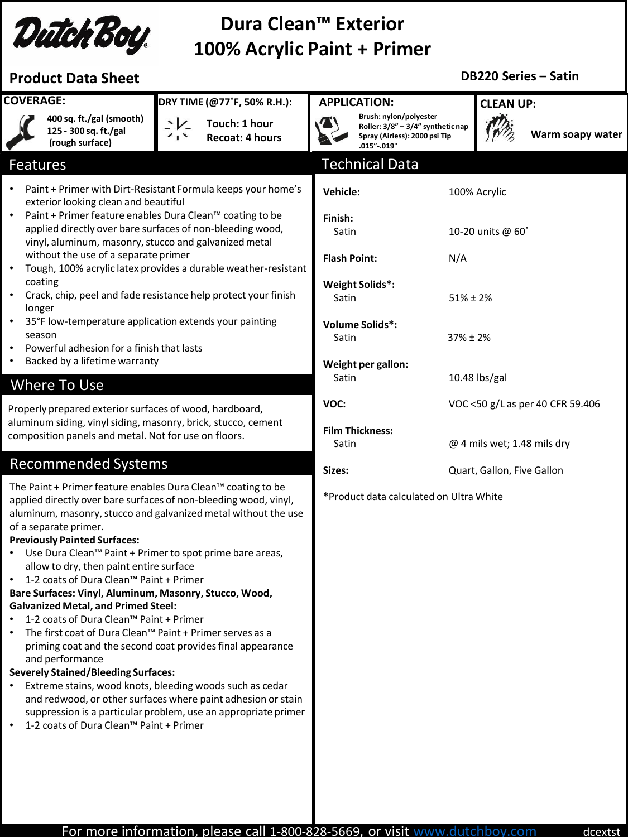

# **Dura Clean™ Exterior 100% Acrylic Paint + Primer**

## **Product Data Sheet**

### **DB220 Series – Satin**